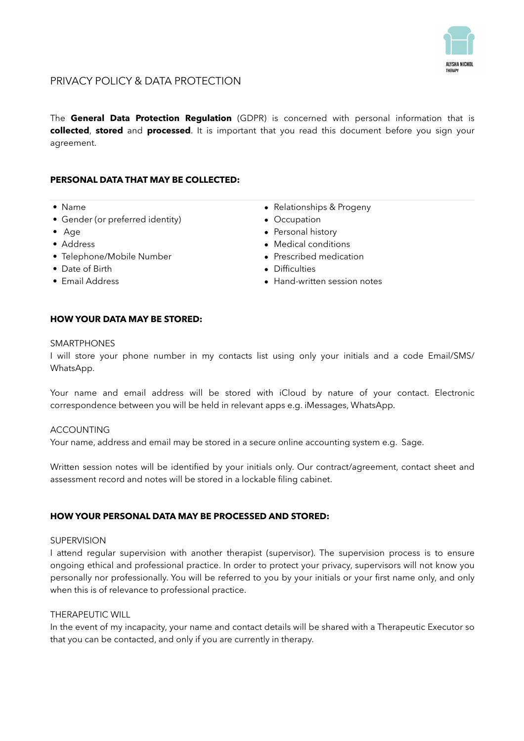

# PRIVACY POLICY & DATA PROTECTION

The **General Data Protection Regulation** (GDPR) is concerned with personal information that is **collected**, **stored** and **processed**. It is important that you read this document before you sign your agreement.

# **PERSONAL DATA THAT MAY BE COLLECTED:**

- Name
- Gender (or preferred identity)
- Age
- Address
- Telephone/Mobile Number
- Date of Birth
- Email Address
- Relationships & Progeny
- Occupation
- Personal history
- Medical conditions
- Prescribed medication
- Difficulties
- Hand-written session notes

### **HOW YOUR DATA MAY BE STORED:**

#### **SMARTPHONES**

I will store your phone number in my contacts list using only your initials and a code Email/SMS/ WhatsApp.

Your name and email address will be stored with iCloud by nature of your contact. Electronic correspondence between you will be held in relevant apps e.g. iMessages, WhatsApp.

#### ACCOUNTING

Your name, address and email may be stored in a secure online accounting system e.g. Sage.

Written session notes will be identified by your initials only. Our contract/agreement, contact sheet and assessment record and notes will be stored in a lockable filing cabinet.

### **HOW YOUR PERSONAL DATA MAY BE PROCESSED AND STORED:**

#### **SUPERVISION**

I attend regular supervision with another therapist (supervisor). The supervision process is to ensure ongoing ethical and professional practice. In order to protect your privacy, supervisors will not know you personally nor professionally. You will be referred to you by your initials or your first name only, and only when this is of relevance to professional practice.

### THERAPEUTIC WILL

In the event of my incapacity, your name and contact details will be shared with a Therapeutic Executor so that you can be contacted, and only if you are currently in therapy.